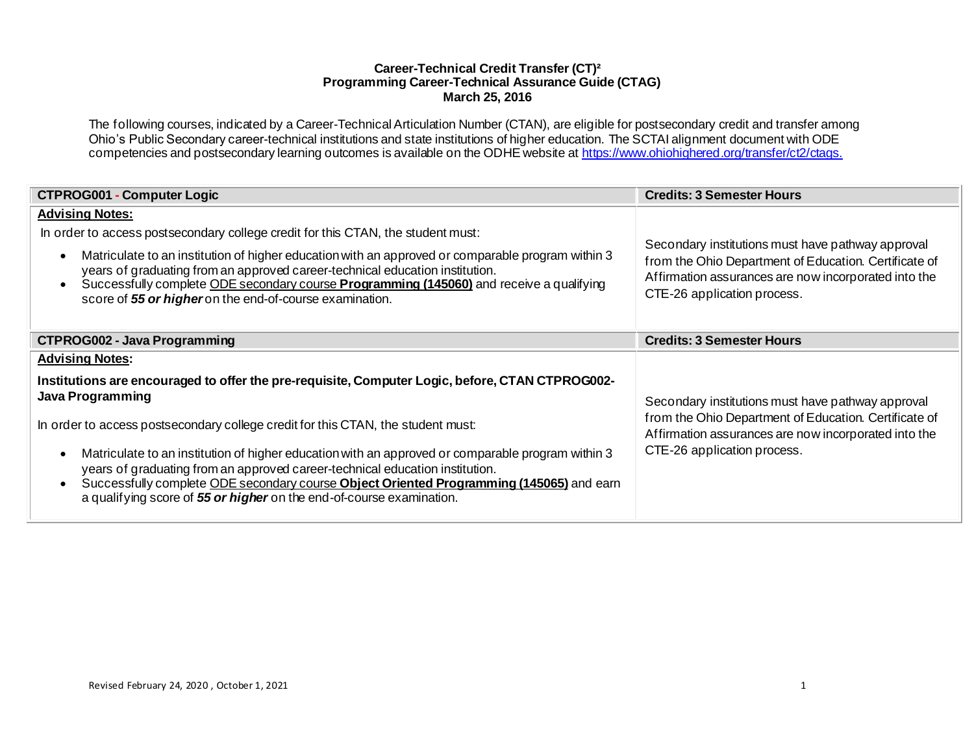# **Career-Technical Credit Transfer (CT)² Programming Career-Technical Assurance Guide (CTAG) March 25, 2016**

The following courses, indicated by a Career-Technical Articulation Number (CTAN), are eligible for postsecondary credit and transfer among Ohio's Public Secondary career-technical institutions and state institutions of higher education. The SCTAI alignment document with ODE competencies and postsecondary learning outcomes is available on the ODHE website a[t https://www.ohiohighered.org/transfer/ct2/ctags](https://www.ohiohighered.org/transfer/ct2/ctags).

| <b>CTPROG001 - Computer Logic</b>                                                                                                                                                                                                                                                                                                                                                                                                                                                                                                                                                                 | <b>Credits: 3 Semester Hours</b>                                                                                                                                                                  |
|---------------------------------------------------------------------------------------------------------------------------------------------------------------------------------------------------------------------------------------------------------------------------------------------------------------------------------------------------------------------------------------------------------------------------------------------------------------------------------------------------------------------------------------------------------------------------------------------------|---------------------------------------------------------------------------------------------------------------------------------------------------------------------------------------------------|
| <b>Advising Notes:</b><br>In order to access postsecondary college credit for this CTAN, the student must:<br>Matriculate to an institution of higher education with an approved or comparable program within 3<br>$\bullet$<br>years of graduating from an approved career-technical education institution.<br>Successfully complete ODE secondary course Programming (145060) and receive a qualifying<br>$\bullet$<br>score of 55 or higher on the end-of-course examination.                                                                                                                  | Secondary institutions must have pathway approval<br>from the Ohio Department of Education. Certificate of<br>Affirmation assurances are now incorporated into the<br>CTE-26 application process. |
| <b>CTPROG002 - Java Programming</b>                                                                                                                                                                                                                                                                                                                                                                                                                                                                                                                                                               | <b>Credits: 3 Semester Hours</b>                                                                                                                                                                  |
| <b>Advising Notes:</b>                                                                                                                                                                                                                                                                                                                                                                                                                                                                                                                                                                            |                                                                                                                                                                                                   |
| Institutions are encouraged to offer the pre-requisite, Computer Logic, before, CTAN CTPROG002-<br><b>Java Programming</b><br>In order to access postsecondary college credit for this CTAN, the student must:<br>Matriculate to an institution of higher education with an approved or comparable program within 3<br>$\bullet$<br>years of graduating from an approved career-technical education institution.<br>Successfully complete ODE secondary course Object Oriented Programming (145065) and earn<br>$\bullet$<br>a qualifying score of 55 or higher on the end-of-course examination. | Secondary institutions must have pathway approval<br>from the Ohio Department of Education. Certificate of<br>Affirmation assurances are now incorporated into the<br>CTE-26 application process. |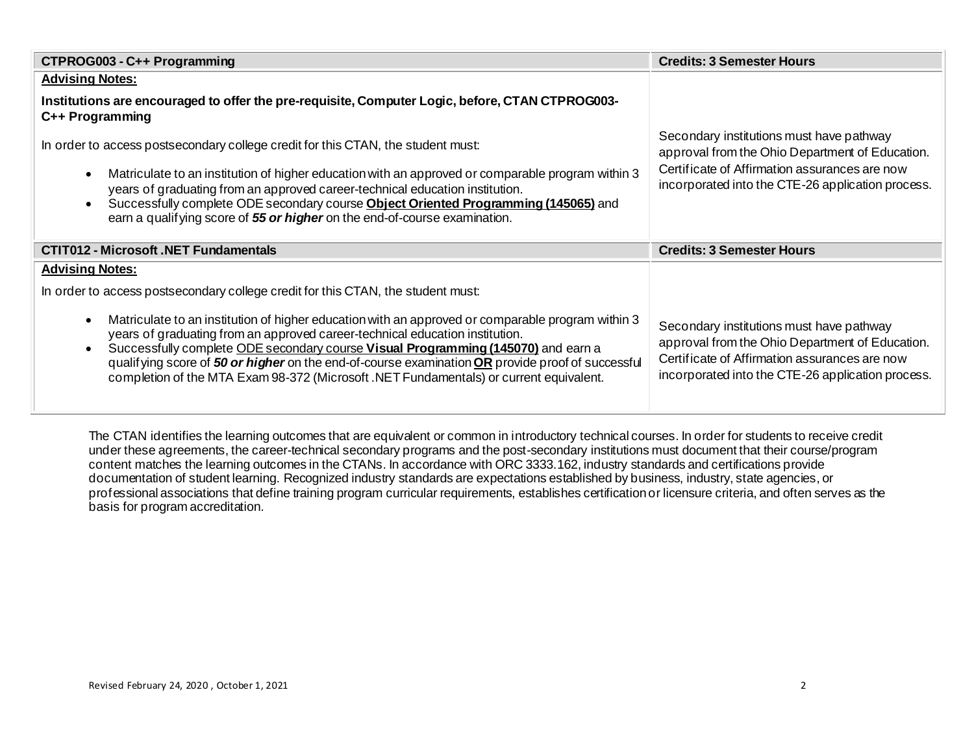| CTPROG003 - C++ Programming                                                                                                                                                                                                                                                                                                                                                                                                                                                                    | <b>Credits: 3 Semester Hours</b>                                                                                                                                                                  |
|------------------------------------------------------------------------------------------------------------------------------------------------------------------------------------------------------------------------------------------------------------------------------------------------------------------------------------------------------------------------------------------------------------------------------------------------------------------------------------------------|---------------------------------------------------------------------------------------------------------------------------------------------------------------------------------------------------|
| <b>Advising Notes:</b>                                                                                                                                                                                                                                                                                                                                                                                                                                                                         |                                                                                                                                                                                                   |
| Institutions are encouraged to offer the pre-requisite, Computer Logic, before, CTAN CTPROG003-<br>C++ Programming                                                                                                                                                                                                                                                                                                                                                                             |                                                                                                                                                                                                   |
| In order to access postsecondary college credit for this CTAN, the student must:                                                                                                                                                                                                                                                                                                                                                                                                               | Secondary institutions must have pathway<br>approval from the Ohio Department of Education.                                                                                                       |
| Matriculate to an institution of higher education with an approved or comparable program within 3<br>$\bullet$<br>years of graduating from an approved career-technical education institution.<br>Successfully complete ODE secondary course Object Oriented Programming (145065) and<br>$\bullet$<br>earn a qualifying score of 55 or higher on the end-of-course examination.                                                                                                                | Certificate of Affirmation assurances are now<br>incorporated into the CTE-26 application process.                                                                                                |
| <b>CTIT012 - Microsoft .NET Fundamentals</b>                                                                                                                                                                                                                                                                                                                                                                                                                                                   | <b>Credits: 3 Semester Hours</b>                                                                                                                                                                  |
| <b>Advising Notes:</b>                                                                                                                                                                                                                                                                                                                                                                                                                                                                         |                                                                                                                                                                                                   |
| In order to access postsecondary college credit for this CTAN, the student must:                                                                                                                                                                                                                                                                                                                                                                                                               |                                                                                                                                                                                                   |
| Matriculate to an institution of higher education with an approved or comparable program within 3<br>$\bullet$<br>years of graduating from an approved career-technical education institution.<br>Successfully complete ODE secondary course Visual Programming (145070) and earn a<br>$\bullet$<br>qualifying score of 50 or higher on the end-of-course examination OR provide proof of successful<br>completion of the MTA Exam 98-372 (Microsoft .NET Fundamentals) or current equivalent. | Secondary institutions must have pathway<br>approval from the Ohio Department of Education.<br>Certificate of Affirmation assurances are now<br>incorporated into the CTE-26 application process. |

The CTAN identifies the learning outcomes that are equivalent or common in introductory technical courses. In order for students to receive credit under these agreements, the career-technical secondary programs and the post-secondary institutions must document that their course/program content matches the learning outcomes in the CTANs. In accordance with ORC 3333.162, industry standards and certifications provide documentation of student learning. Recognized industry standards are expectations established by business, industry, state agencies, or professional associations that define training program curricular requirements, establishes certification or licensure criteria, and often serves as the basis for program accreditation.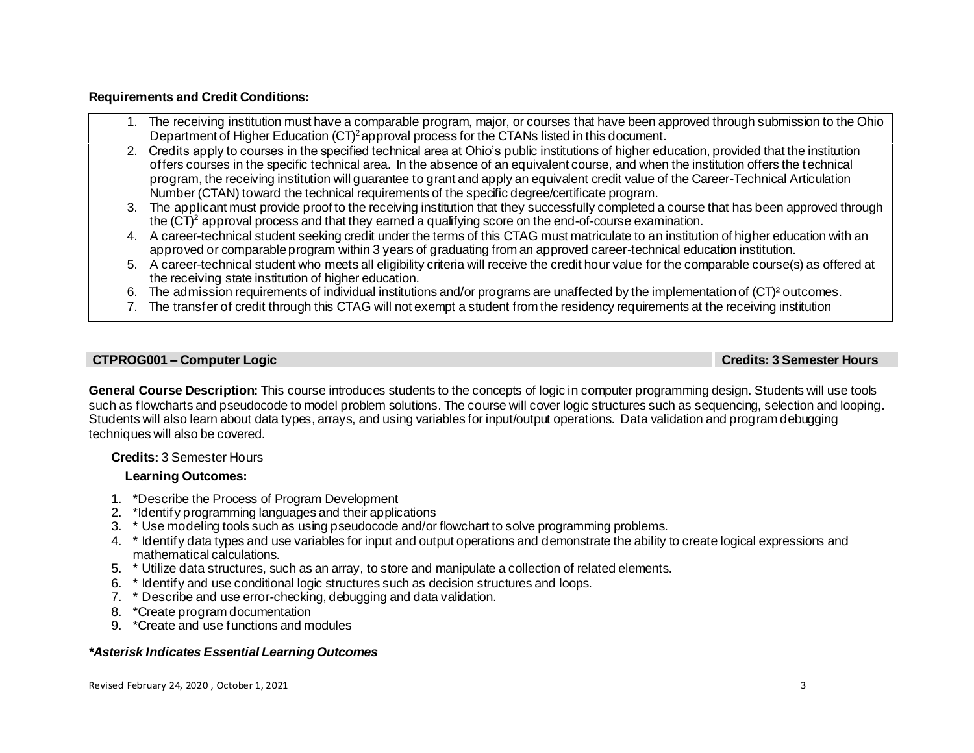# **Requirements and Credit Conditions:**

- 1. The receiving institution must have a comparable program, major, or courses that have been approved through submission to the Ohio Department of Higher Education (CT)<sup>2</sup> approval process for the CTANs listed in this document.
- 2. Credits apply to courses in the specified technical area at Ohio's public institutions of higher education, provided that the institution offers courses in the specific technical area. In the absence of an equivalent course, and when the institution offers the technical program, the receiving institution will guarantee to grant and apply an equivalent credit value of the Career-Technical Articulation Number (CTAN) toward the technical requirements of the specific degree/certificate program.
- 3. The applicant must provide proof to the receiving institution that they successfully completed a course that has been approved through the  $(CT)^2$  approval process and that they earned a qualifying score on the end-of-course examination.
- 4. A career-technical student seeking credit under the terms of this CTAG must matriculate to an institution of higher education with an approved or comparable program within 3 years of graduating from an approved career-technical education institution.
- 5. A career-technical student who meets all eligibility criteria will receive the credit hour value for the comparable course(s) as offered at the receiving state institution of higher education.
- 6. The admission requirements of individual institutions and/or programs are unaffected by the implementation of (CT)² outcomes.
- 7. The transfer of credit through this CTAG will not exempt a student from the residency requirements at the receiving institution

#### **CTPROG001 – Computer Logic Credits: 3 Semester Hours**

**General Course Description:** This course introduces students to the concepts of logic in computer programming design. Students will use tools such as flowcharts and pseudocode to model problem solutions. The course will cover logic structures such as sequencing, selection and looping. Students will also learn about data types, arrays, and using variables for input/output operations. Data validation and program debugging techniques will also be covered.

# **Credits:** 3 Semester Hours

# **Learning Outcomes:**

- 1. \*Describe the Process of Program Development
- 2. \*Identify programming languages and their applications
- 3. \* Use modeling tools such as using pseudocode and/or flowchart to solve programming problems.
- 4. \* Identify data types and use variables for input and output operations and demonstrate the ability to create logical expressions and mathematical calculations.
- 5. \* Utilize data structures, such as an array, to store and manipulate a collection of related elements.
- 6. \* Identify and use conditional logic structures such as decision structures and loops.
- 7. \* Describe and use error-checking, debugging and data validation.
- 8. \*Create program documentation
- 9. \*Create and use functions and modules

# *\*Asterisk Indicates Essential Learning Outcomes*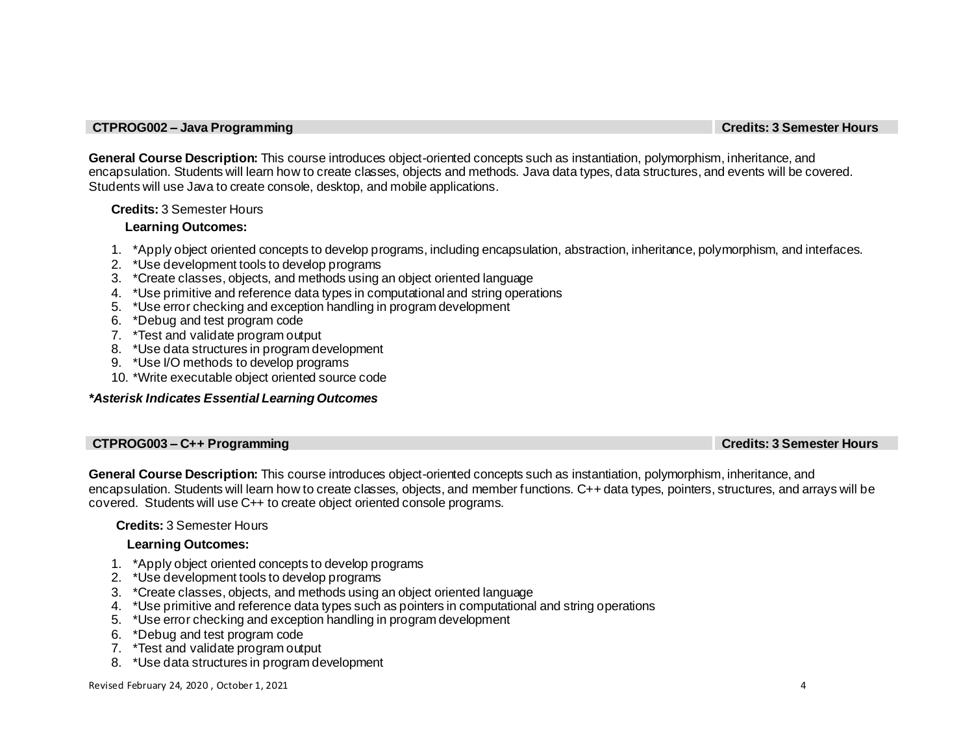#### **CTPROG002 – Java Programming Credits: 3 Semester Hours**

**General Course Description:** This course introduces object-oriented concepts such as instantiation, polymorphism, inheritance, and encapsulation. Students will learn how to create classes, objects and methods. Java data types, data structures, and events will be covered. Students will use Java to create console, desktop, and mobile applications.

# **Credits:** 3 Semester Hours

# **Learning Outcomes:**

- 1. \*Apply object oriented concepts to develop programs, including encapsulation, abstraction, inheritance, polymorphism, and interfaces.
- 2. \*Use development tools to develop programs
- 3. \*Create classes, objects, and methods using an object oriented language
- 4. \*Use primitive and reference data types in computational and string operations
- 5. \*Use error checking and exception handling in program development
- 6. \*Debug and test program code
- 7. \*Test and validate program output
- 8. \*Use data structures in program development
- 9. \*Use I/O methods to develop programs
- 10. \*Write executable object oriented source code

# *\*Asterisk Indicates Essential Learning Outcomes*

# **CTPROG003 – C++ Programming Credits: 3 Semester Hours**

**General Course Description:** This course introduces object-oriented concepts such as instantiation, polymorphism, inheritance, and encapsulation. Students will learn how to create classes, objects, and member functions. C++ data types, pointers, structures, and arrays will be covered. Students will use C++ to create object oriented console programs.

# **Credits:** 3 Semester Hours

# **Learning Outcomes:**

- 1. \*Apply object oriented concepts to develop programs
- 2. \*Use development tools to develop programs
- 3. \*Create classes, objects, and methods using an object oriented language
- 4. \*Use primitive and reference data types such as pointers in computational and string operations
- 5. \*Use error checking and exception handling in program development
- 6. \*Debug and test program code
- 7. \*Test and validate program output
- 8. \*Use data structures in program development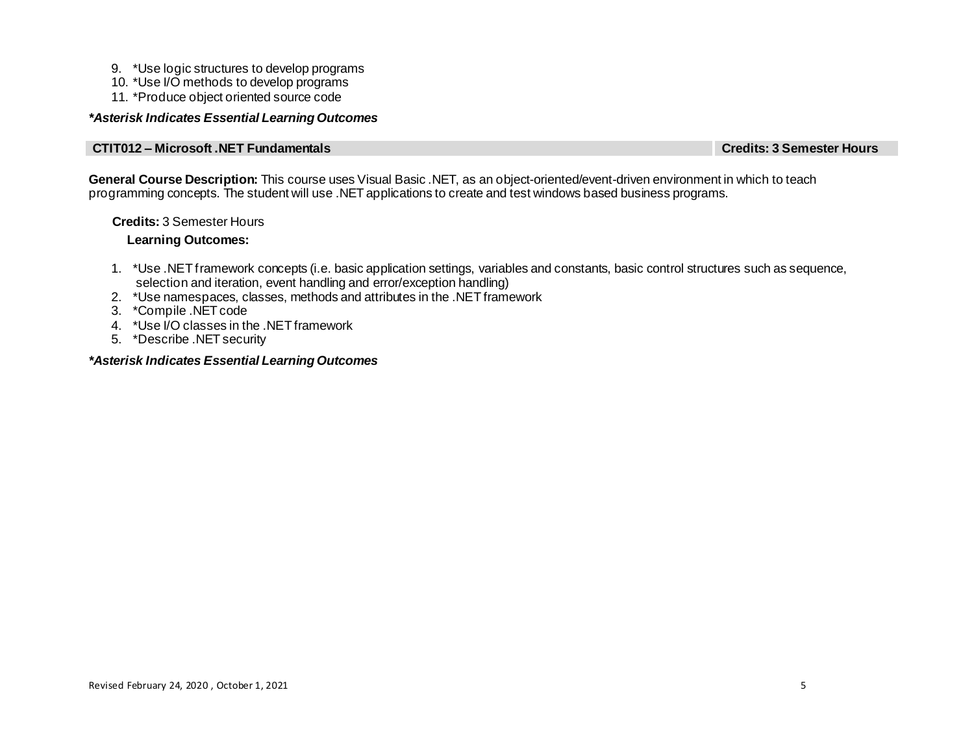- 9. \*Use logic structures to develop programs
- 10. \*Use I/O methods to develop programs
- 11. \*Produce object oriented source code

# *\*Asterisk Indicates Essential Learning Outcomes*

# **CTIT012 – Microsoft .NET Fundamentals Credits: 3 Semester Hours**

**General Course Description:** This course uses Visual Basic .NET, as an object-oriented/event-driven environment in which to teach programming concepts. The student will use .NET applications to create and test windows based business programs.

# **Credits:** 3 Semester Hours

# **Learning Outcomes:**

- 1. \*Use .NET framework concepts (i.e. basic application settings, variables and constants, basic control structures such as sequence, selection and iteration, event handling and error/exception handling)
- 2. \*Use namespaces, classes, methods and attributes in the .NET framework
- 3. \*Compile .NET code
- 4. \*Use I/O classes in the .NET framework
- 5. \*Describe .NET security

# *\*Asterisk Indicates Essential Learning Outcomes*